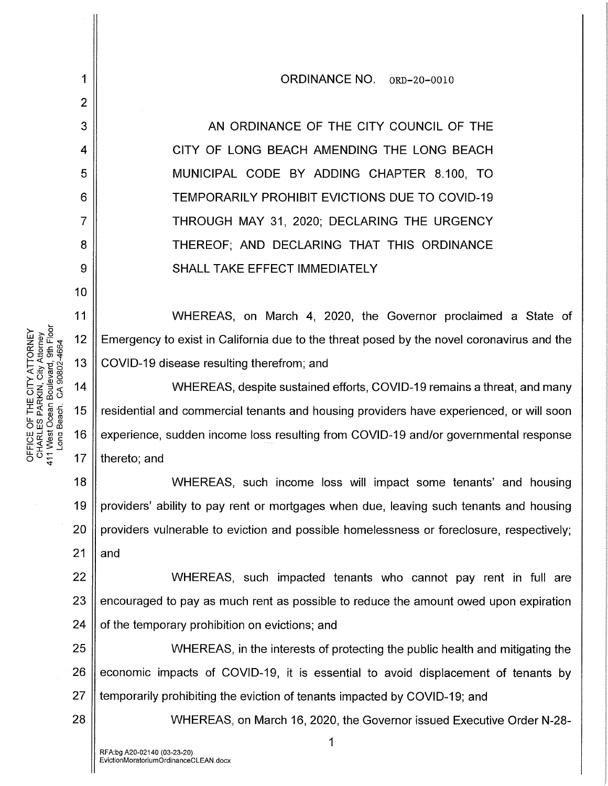AN ORDINANCE OF THE CITY COUNCIL OF THE CITY OF LONG BEACH AMENDING THE LONG BEACH MUNICIPAL CODE BY ADDING CHAPTER 8.100, TO TEMPORARILY PROHIBIT EVICTIONS DUE TO COVID-19 THROUGH MAY 31, 2020; DECLARING THE URGENCY THEREOF; AND DECLARING THAT THIS ORDINANCE SHALL TAKE EFFECT IMMEDIATELY

ORDINANCE NO. ORD-20-0010

WHEREAS, on March 4, 2020, the Governor proclaimed a State of Emergency to exist in California due to the threat posed by the novel coronavirus and the COVID-19 disease resulting therefrom; and

 $14$ WHEREAS, despite sustained efforts, COVID-19 remains a threat, and many residential and commercial tenants and housing providers have experienced, or will soon 16 experience, sudden income loss resulting from COVID-19 and/or governmental response thereto; and

18 19 20 21 WHEREAS, such income loss will impact some tenants' and housing providers' ability to pay rent or mortgages when due, leaving such tenants and housing providers vulnerable to eviction and possible homelessness or foreclosure, respectively; and

22 23 24 WHEREAS, such impacted tenants who cannot pay rent in full are encouraged to pay as much rent as possible to reduce the amount owed upon expiration of the temporary prohibition on evictions; and

25 26 27 WHEREAS, in the interests of protecting the public health and mitigating the economic impacts of COVID-19, it is essential to avoid displacement of tenants by temporarily prohibiting the eviction of tenants impacted by COVID-19; and

WHEREAS, on March 16, 2020, the Governor issued Executive Order N-28-

411 West Ocean Boulevard, 9th Floor OFFICE OF THE CITY ATTORNEY CHARLES PARKIN, City Attorney ong Beach. CA 90802-4664 1

2

3

4

5

6

7

8

9

10

11

 $12$ 

13

15

 $17$ 

28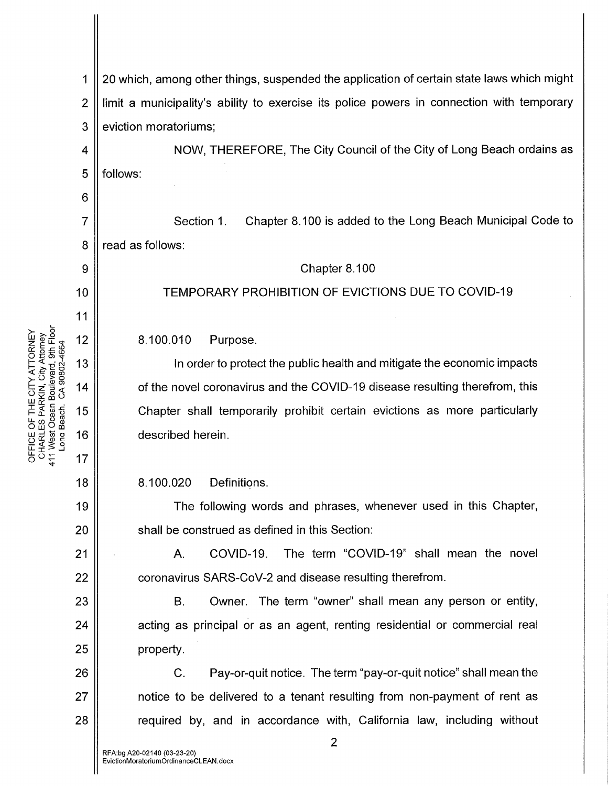property. C. Pay-or-quit notice. The term "pay-or-quit notice" shall mean the notice to be delivered to a tenant resulting from non-payment of rent as  $28$   $\parallel$  required by, and in accordance with, California law, including without 2 8 9 10 11  $72~$ وَاطَع 00: 20:00 20:00 20:00 20:00 20:00 20:00 20:00 20:00 20:00 20:00 20:00 20:00 20:00 20:00 20:00 20:00 20:00 20:0<br>ABOUBARG, 9th<br>n Boulevard, 9th<br>n 2:00 20:00 20:00 20:00 20:00 20:00 20:00 20:00 20:00 20:00 20:00 20:00 20:00 2 는 준 흥 <del>등</del> 15<br>ㄴ , , 을 유  $\overline{u}$ ្ដី រូច 16  $\frac{5}{4}$  17 18 19 20 21 22 23 24 25 26 27 6 7 1 20 which, among other things, suspended the application of certain state laws which might 2 I limit a municipality's ability to exercise its police powers in connection with temporary 3 | eviction moratoriums; 4 || NOW, THEREFORE, The City Council of the City of Long Beach ordains as 5 | follows: Section 1. Chapter 8.100 is added to the Long Beach Municipal Code to read as follows: Chapter 8.100 TEMPORARY PROHIBITION OF EVICTIONS DUE TO COVID-19 8.100.010 Purpose. In order to protect the public health and mitigate the economic impacts of the novel coronavirus and the COVID-19 disease resulting therefrom, this Chapter shall temporarily prohibit certain evictions as more particularly described herein. 8.100.020 Definitions. The following words and phrases, whenever used in this Chapter, shall be construed as defined in this Section: A. COVID-19. The term "COVID-19" shall mean the novel coronavirus SARS-CoV-2 and disease resulting therefrom. B. Owner. The term "owner" shall mean any person or entity, acting as principal or as an agent, renting residential or commercial real

 $\stackrel{<}{\sim}$   $\sim$   $\stackrel{<}{\sim}$ 

 $\mathrel{\vdash}\mathord{\succ}^1$ 

o 떠c

i:≨Š.3 ~o~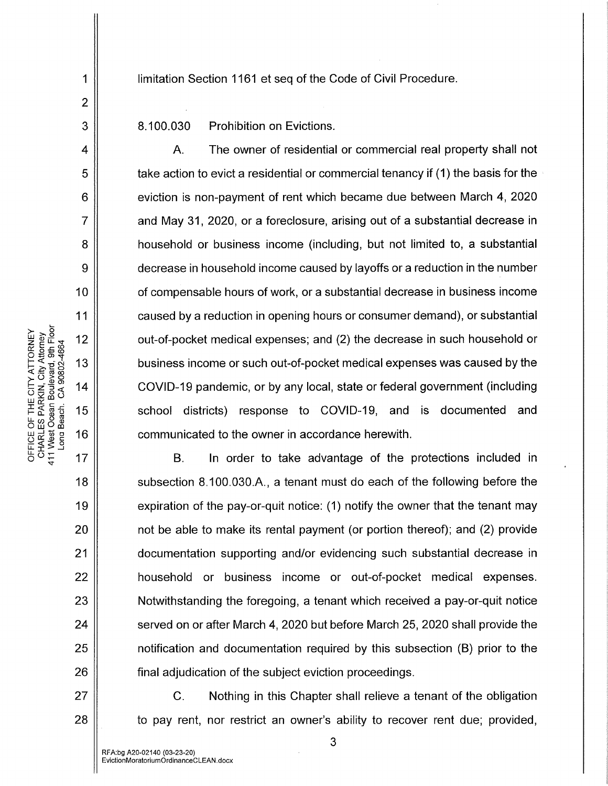limitation Section 1161 et seq of the Code of Civil Procedure.

8.100.030 Prohibition on Evictions.

A. The owner of residential or commercial real property shall not take action to evict a residential or commercial tenancy if (1) the basis for the eviction is non-payment of rent which became due between March 4, 2020 and May 31, 2020, or a foreclosure, arising out of a substantial decrease in household or business income (including, but not limited to, a substantial decrease in household income caused by layoffs or a reduction in the number of compensable hours of work, or a substantial decrease in business income caused by a reduction in opening hours or consumer demand), or substantial out-of-pocket medical expenses; and (2) the decrease in such household or business income or such out-of-pocket medical expenses was caused by the COVID-19 pandemic, or by any local, state or federal government (including school districts) response to COVID-19, and is documented and communicated to the owner in accordance herewith.

B. In order to take advantage of the protections included in subsection 8.1 00.030.A., a tenant must do each of the following before the expiration of the pay-or-quit notice: (1) notify the owner that the tenant may not be able to make its rental payment (or portion thereof); and (2) provide documentation supporting and/or evidencing such substantial decrease in household or business income or out-of-pocket medical expenses. Notwithstanding the foregoing, a tenant which received a pay-or-quit notice served on or after March 4, 2020 but before March 25, 2020 shall provide the notification and documentation required by this subsection (B) prior to the final adjudication of the subject eviction proceedings.

C. Nothing in this Chapter shall relieve a tenant of the obligation  $28$  || to pay rent, nor restrict an owner's ability to recover rent due; provided,

1

2

3

4

5

6

7

8

9

10

11

 $17$ 

18

19

20

21

22

23

24

25

26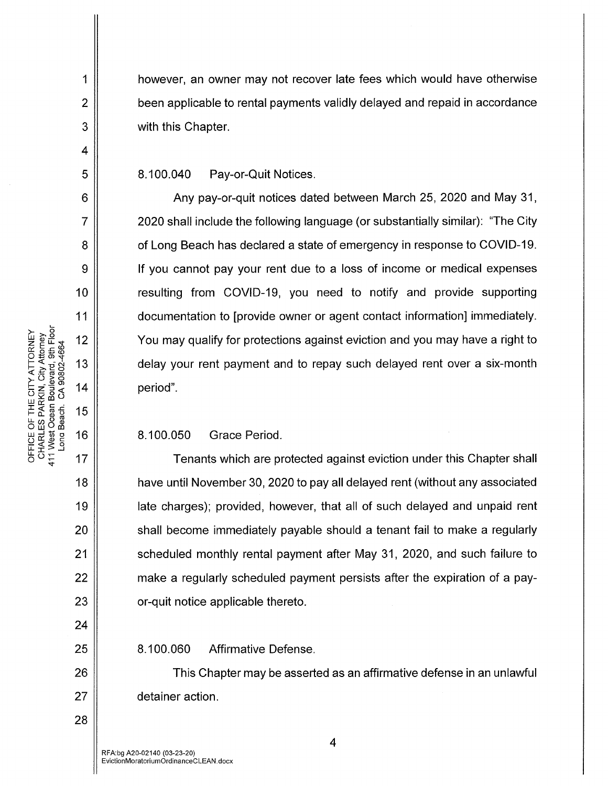however, an owner may not recover late fees which would have otherwise been applicable to rental payments validly delayed and repaid in accordance with this Chapter.

8.100.040 Pay-or-Quit Notices.

Any pay-or-quit notices dated between March 25, 2020 and May 31, 2020 shall include the following language (or substantially similar): "The City of Long Beach has declared a state of emergency in response to COVID-19. If you cannot pay your rent due to a loss of income or medical expenses resulting from COVID-19, you need to notify and provide supporting documentation to [provide owner or agent contact information] immediately. You may qualify for protections against eviction and you may have a right to delay your rent payment and to repay such delayed rent over a six-month period".

8.100.050 Grace Period.

Tenants which are protected against eviction under this Chapter shall have until November 30, 2020 to pay all delayed rent (without any associated late charges); provided, however, that all of such delayed and unpaid rent shall become immediately payable should a tenant fail to make a regularly scheduled monthly rental payment after May 31, 2020, and such failure to make a regularly scheduled payment persists after the expiration of a payor-quit notice applicable thereto.

8.100.060 Affirmative Defense.

This Chapter may be asserted as an affirmative defense in an unlawful detainer action.

1

 $\overline{2}$ 

3

4

5

6

 $\overline{7}$ 

8

9

10

 $11$ 

 $12$ 

13

14

15

16

17

18

19

20

 $21$ 

22

23

24

25

26

27

28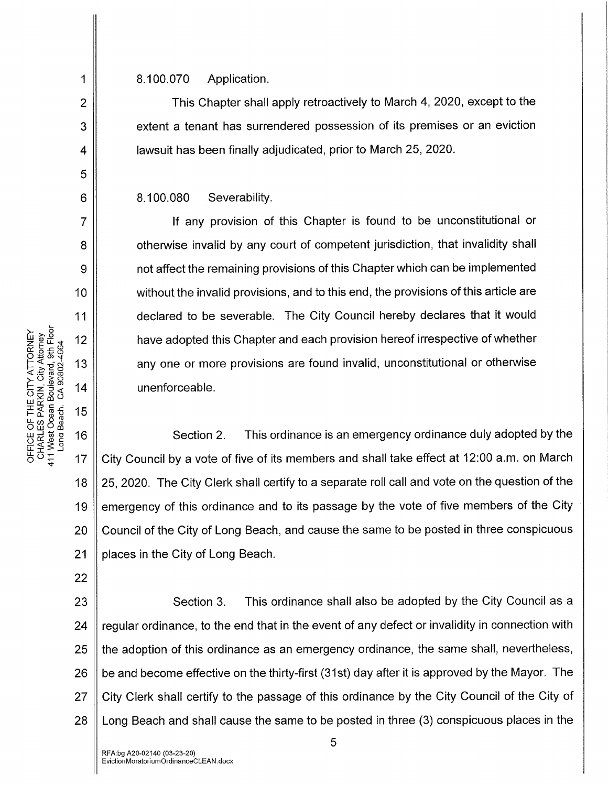8.100.070 Application.

This Chapter shall apply retroactively to March 4, 2020, except to the extent a tenant has surrendered possession of its premises or an eviction lawsuit has been finally adjudicated, prior to March 25, 2020.

8.100.080 Severability.

If any provision of this Chapter is found to be unconstitutional or otherwise invalid by any court of competent jurisdiction, that invalidity shall not affect the remaining provisions of this Chapter which can be implemented without the invalid provisions, and to this end, the provisions of this article are declared to be severable. The City Council hereby declares that it would have adopted this Chapter and each provision hereof irrespective of whether any one or more provisions are found invalid, unconstitutional or otherwise unenforceable.

Section 2. This ordinance is an emergency ordinance duly adopted by the City Council by a vote of five of its members and shall take effect at 12:00 a.m. on March 25,2020. The City Clerk shall certify to a separate roll call and vote on the question of the emergency of this ordinance and to its passage by the vote of five members of the City Council of the City of Long Beach, and cause the same to be posted in three conspicuous places in the City of Long Beach.

23 24 25 26 27 28 Section 3. This ordinance shall also be adopted by the City Council as a regular ordinance, to the end that in the event of any defect or invalidity in connection with the adoption of this ordinance as an emergency ordinance, the same shall, nevertheless, be and become effective on the thirty-first (31st) day after it is approved by the Mayor. The City Clerk shall certify to the passage of this ordinance by the City Council of the City of Long Beach and shall cause the same to be posted in three (3) conspicuous places in the

1

2

3

4

5

6

7

8

9

10

11

18

19

20

21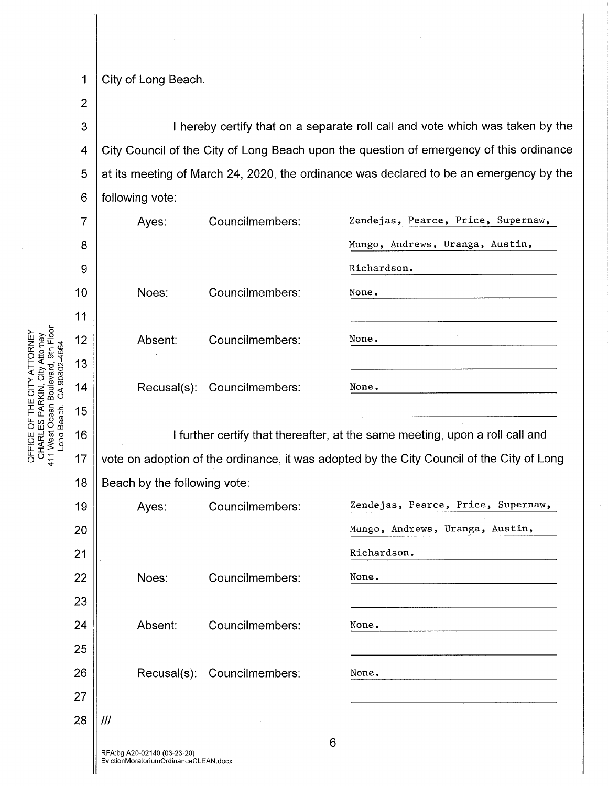1 City of Long Beach.

2

3 4 5 6 I hereby certify that on a separate roll call and vote which was taken by the City Council of the City of Long Beach upon the question of emergency of this ordinance at its meeting of March 24, 2020, the ordinance was declared to be an emergency by the following vote:

| $\overline{7}$ | Ayes:                                                                                     | Councilmembers: | Zendejas, Pearce, Price, Supernaw, |  |  |
|----------------|-------------------------------------------------------------------------------------------|-----------------|------------------------------------|--|--|
| 8              |                                                                                           |                 | Mungo, Andrews, Uranga, Austin,    |  |  |
| 9              |                                                                                           |                 | Richardson.                        |  |  |
| 10             | Noes:                                                                                     | Councilmembers: | None.                              |  |  |
| 11             |                                                                                           |                 |                                    |  |  |
| 12             | Absent:                                                                                   | Councilmembers: | None.                              |  |  |
| 13             |                                                                                           |                 |                                    |  |  |
| 14             | Recusal(s):                                                                               | Councilmembers: | None.                              |  |  |
| 15             |                                                                                           |                 |                                    |  |  |
| 16             | I further certify that thereafter, at the same meeting, upon a roll call and              |                 |                                    |  |  |
| 17             | vote on adoption of the ordinance, it was adopted by the City Council of the City of Long |                 |                                    |  |  |
| 18             | Beach by the following vote:                                                              |                 |                                    |  |  |
| 19             | Ayes:                                                                                     | Councilmembers: | Zendejas, Pearce, Price, Supernaw, |  |  |
| 20             |                                                                                           |                 | Mungo, Andrews, Uranga, Austin,    |  |  |

| 19 |     | Ayes:   | Councilmembers:             | Zendejas, Pearce, Price, Supernaw, |
|----|-----|---------|-----------------------------|------------------------------------|
| 20 |     |         |                             | Mungo, Andrews, Uranga, Austin,    |
| 21 |     |         |                             | Richardson.                        |
| 22 |     | Noes:   | Councilmembers:             | None.                              |
| 23 |     |         |                             |                                    |
| 24 |     | Absent: | Councilmembers:             | None.                              |
| 25 |     |         |                             |                                    |
| 26 |     |         | Recusal(s): Councilmembers: | None.                              |
| 27 |     |         |                             |                                    |
| 28 | /// |         |                             |                                    |
|    |     |         |                             |                                    |

NEURNE<br>
MENEUR 12<br>
MENEUR 13<br>
MENEUR 13<br>
MENEUR 13<br>
MENEUR 13<br>
MENEUR 13 PLEU<br>CES PARK<br>RLES PARK<br>st Cean<br>Cean<br>2<br>16<br>16

또 \$ ≩ ਹ  $\bar{\sigma}^{\circ}$   $\frac{1}{4}$  17

 $\frac{1}{2}$ ន់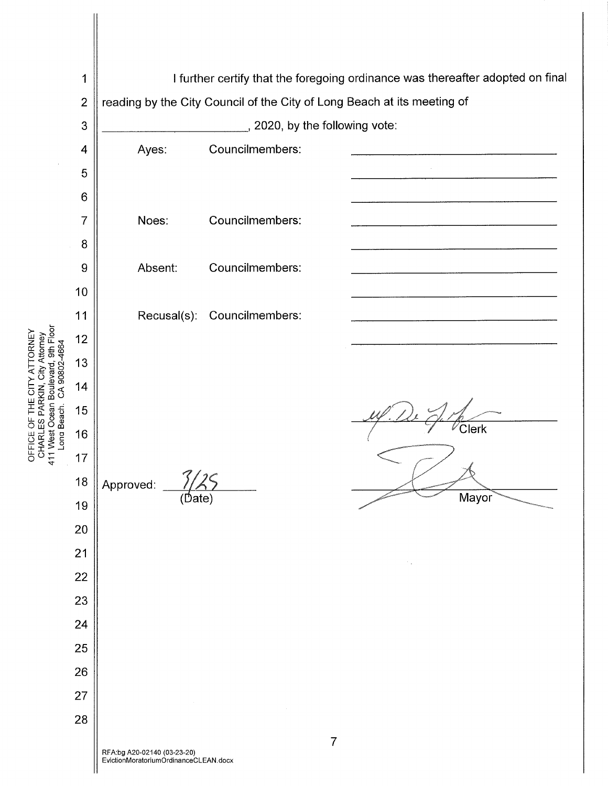

EvictionMoratoriumOrdinanceCLEAN.docx